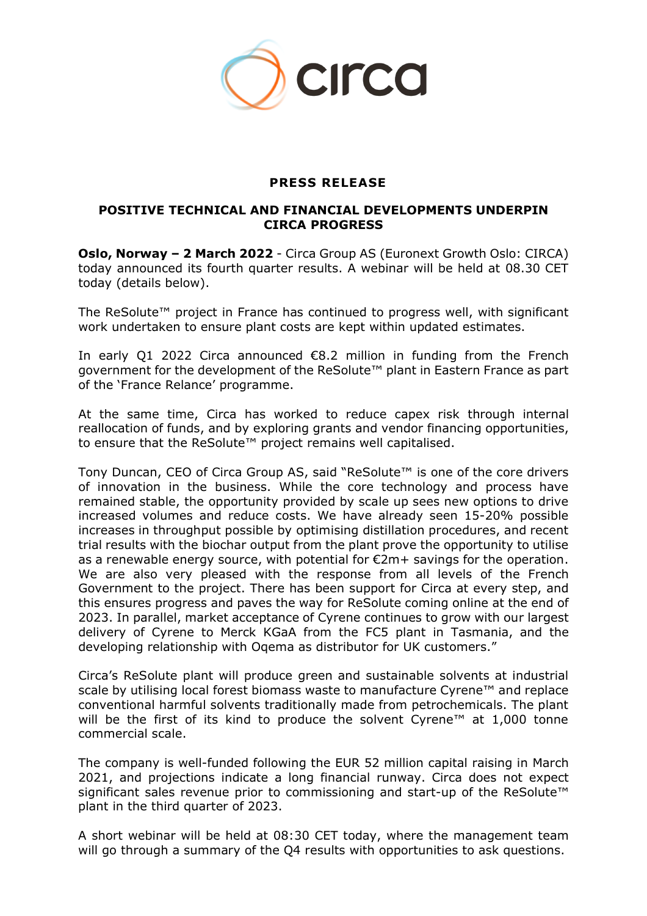

## **PRESS RELEASE**

## **POSITIVE TECHNICAL AND FINANCIAL DEVELOPMENTS UNDERPIN CIRCA PROGRESS**

**Oslo, Norway – 2 March 2022** - Circa Group AS (Euronext Growth Oslo: CIRCA) today announced its fourth quarter results. A webinar will be held at 08.30 CET today (details below).

The ReSolute™ project in France has continued to progress well, with significant work undertaken to ensure plant costs are kept within updated estimates.

In early Q1 2022 Circa announced €8.2 million in funding from the French government for the development of the ReSolute™ plant in Eastern France as part of the 'France Relance' programme.

At the same time, Circa has worked to reduce capex risk through internal reallocation of funds, and by exploring grants and vendor financing opportunities, to ensure that the ReSolute™ project remains well capitalised.

Tony Duncan, CEO of Circa Group AS, said "ReSolute™ is one of the core drivers of innovation in the business. While the core technology and process have remained stable, the opportunity provided by scale up sees new options to drive increased volumes and reduce costs. We have already seen 15-20% possible increases in throughput possible by optimising distillation procedures, and recent trial results with the biochar output from the plant prove the opportunity to utilise as a renewable energy source, with potential for €2m+ savings for the operation. We are also very pleased with the response from all levels of the French Government to the project. There has been support for Circa at every step, and this ensures progress and paves the way for ReSolute coming online at the end of 2023. In parallel, market acceptance of Cyrene continues to grow with our largest delivery of Cyrene to Merck KGaA from the FC5 plant in Tasmania, and the developing relationship with Oqema as distributor for UK customers."

Circa's ReSolute plant will produce green and sustainable solvents at industrial scale by utilising local forest biomass waste to manufacture Cyrene™ and replace conventional harmful solvents traditionally made from petrochemicals. The plant will be the first of its kind to produce the solvent Cyrene™ at 1,000 tonne commercial scale.

The company is well-funded following the EUR 52 million capital raising in March 2021, and projections indicate a long financial runway. Circa does not expect significant sales revenue prior to commissioning and start-up of the ReSolute<sup>™</sup> plant in the third quarter of 2023.

A short webinar will be held at 08:30 CET today, where the management team will go through a summary of the Q4 results with opportunities to ask questions.